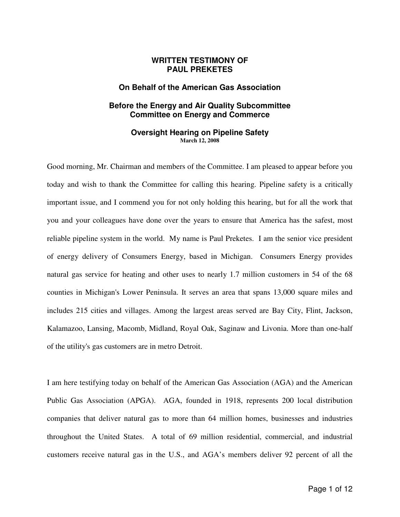# **WRITTEN TESTIMONY OF PAUL PREKETES**

## **On Behalf of the American Gas Association**

# **Before the Energy and Air Quality Subcommittee Committee on Energy and Commerce**

## **Oversight Hearing on Pipeline Safety March 12, 2008**

Good morning, Mr. Chairman and members of the Committee. I am pleased to appear before you today and wish to thank the Committee for calling this hearing. Pipeline safety is a critically important issue, and I commend you for not only holding this hearing, but for all the work that you and your colleagues have done over the years to ensure that America has the safest, most reliable pipeline system in the world. My name is Paul Preketes. I am the senior vice president of energy delivery of Consumers Energy, based in Michigan. Consumers Energy provides natural gas service for heating and other uses to nearly 1.7 million customers in 54 of the 68 counties in Michigan's Lower Peninsula. It serves an area that spans 13,000 square miles and includes 215 cities and villages. Among the largest areas served are Bay City, Flint, Jackson, Kalamazoo, Lansing, Macomb, Midland, Royal Oak, Saginaw and Livonia. More than one-half of the utility's gas customers are in metro Detroit.

I am here testifying today on behalf of the American Gas Association (AGA) and the American Public Gas Association (APGA). AGA, founded in 1918, represents 200 local distribution companies that deliver natural gas to more than 64 million homes, businesses and industries throughout the United States. A total of 69 million residential, commercial, and industrial customers receive natural gas in the U.S., and AGA's members deliver 92 percent of all the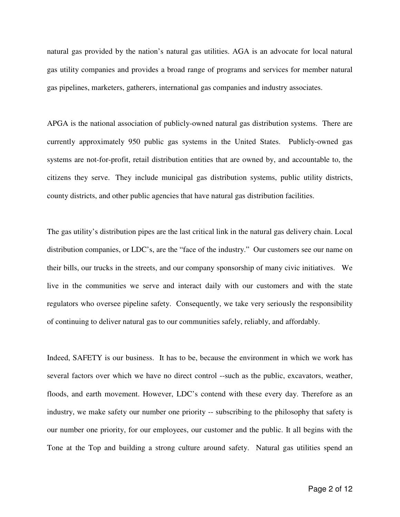natural gas provided by the nation's natural gas utilities. AGA is an advocate for local natural gas utility companies and provides a broad range of programs and services for member natural gas pipelines, marketers, gatherers, international gas companies and industry associates.

APGA is the national association of publicly-owned natural gas distribution systems. There are currently approximately 950 public gas systems in the United States. Publicly-owned gas systems are not-for-profit, retail distribution entities that are owned by, and accountable to, the citizens they serve. They include municipal gas distribution systems, public utility districts, county districts, and other public agencies that have natural gas distribution facilities.

The gas utility's distribution pipes are the last critical link in the natural gas delivery chain. Local distribution companies, or LDC's, are the "face of the industry." Our customers see our name on their bills, our trucks in the streets, and our company sponsorship of many civic initiatives. We live in the communities we serve and interact daily with our customers and with the state regulators who oversee pipeline safety. Consequently, we take very seriously the responsibility of continuing to deliver natural gas to our communities safely, reliably, and affordably.

Indeed, SAFETY is our business. It has to be, because the environment in which we work has several factors over which we have no direct control --such as the public, excavators, weather, floods, and earth movement. However, LDC's contend with these every day. Therefore as an industry, we make safety our number one priority -- subscribing to the philosophy that safety is our number one priority, for our employees, our customer and the public. It all begins with the Tone at the Top and building a strong culture around safety. Natural gas utilities spend an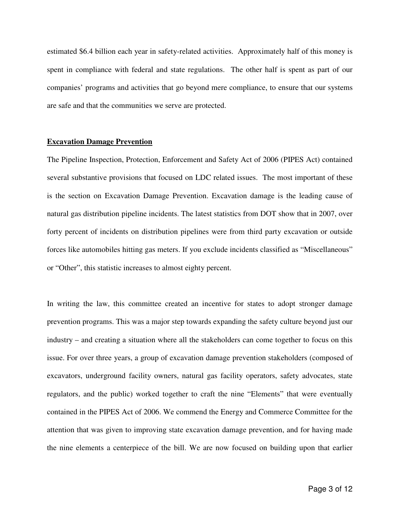estimated \$6.4 billion each year in safety-related activities. Approximately half of this money is spent in compliance with federal and state regulations. The other half is spent as part of our companies' programs and activities that go beyond mere compliance, to ensure that our systems are safe and that the communities we serve are protected.

## **Excavation Damage Prevention**

The Pipeline Inspection, Protection, Enforcement and Safety Act of 2006 (PIPES Act) contained several substantive provisions that focused on LDC related issues. The most important of these is the section on Excavation Damage Prevention. Excavation damage is the leading cause of natural gas distribution pipeline incidents. The latest statistics from DOT show that in 2007, over forty percent of incidents on distribution pipelines were from third party excavation or outside forces like automobiles hitting gas meters. If you exclude incidents classified as "Miscellaneous" or "Other", this statistic increases to almost eighty percent.

In writing the law, this committee created an incentive for states to adopt stronger damage prevention programs. This was a major step towards expanding the safety culture beyond just our industry – and creating a situation where all the stakeholders can come together to focus on this issue. For over three years, a group of excavation damage prevention stakeholders (composed of excavators, underground facility owners, natural gas facility operators, safety advocates, state regulators, and the public) worked together to craft the nine "Elements" that were eventually contained in the PIPES Act of 2006. We commend the Energy and Commerce Committee for the attention that was given to improving state excavation damage prevention, and for having made the nine elements a centerpiece of the bill. We are now focused on building upon that earlier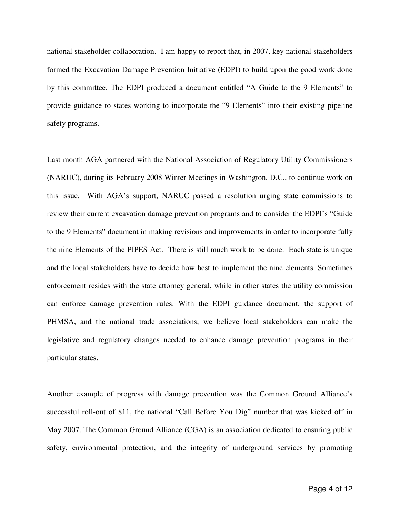national stakeholder collaboration. I am happy to report that, in 2007, key national stakeholders formed the Excavation Damage Prevention Initiative (EDPI) to build upon the good work done by this committee. The EDPI produced a document entitled "A Guide to the 9 Elements" to provide guidance to states working to incorporate the "9 Elements" into their existing pipeline safety programs.

Last month AGA partnered with the National Association of Regulatory Utility Commissioners (NARUC), during its February 2008 Winter Meetings in Washington, D.C., to continue work on this issue. With AGA's support, NARUC passed a resolution urging state commissions to review their current excavation damage prevention programs and to consider the EDPI's "Guide to the 9 Elements" document in making revisions and improvements in order to incorporate fully the nine Elements of the PIPES Act. There is still much work to be done. Each state is unique and the local stakeholders have to decide how best to implement the nine elements. Sometimes enforcement resides with the state attorney general, while in other states the utility commission can enforce damage prevention rules. With the EDPI guidance document, the support of PHMSA, and the national trade associations, we believe local stakeholders can make the legislative and regulatory changes needed to enhance damage prevention programs in their particular states.

Another example of progress with damage prevention was the Common Ground Alliance's successful roll-out of 811, the national "Call Before You Dig" number that was kicked off in May 2007. The Common Ground Alliance (CGA) is an association dedicated to ensuring public safety, environmental protection, and the integrity of underground services by promoting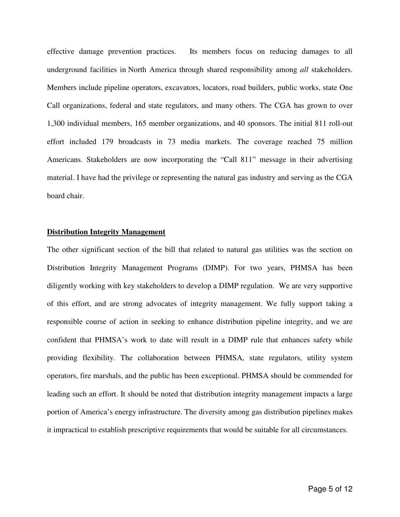effective damage prevention practices. Its members focus on reducing damages to all underground facilities in North America through shared responsibility among *all* stakeholders. Members include pipeline operators, excavators, locators, road builders, public works, state One Call organizations, federal and state regulators, and many others. The CGA has grown to over 1,300 individual members, 165 member organizations, and 40 sponsors. The initial 811 roll-out effort included 179 broadcasts in 73 media markets. The coverage reached 75 million Americans. Stakeholders are now incorporating the "Call 811" message in their advertising material. I have had the privilege or representing the natural gas industry and serving as the CGA board chair.

#### **Distribution Integrity Management**

The other significant section of the bill that related to natural gas utilities was the section on Distribution Integrity Management Programs (DIMP). For two years, PHMSA has been diligently working with key stakeholders to develop a DIMP regulation. We are very supportive of this effort, and are strong advocates of integrity management. We fully support taking a responsible course of action in seeking to enhance distribution pipeline integrity, and we are confident that PHMSA's work to date will result in a DIMP rule that enhances safety while providing flexibility. The collaboration between PHMSA, state regulators, utility system operators, fire marshals, and the public has been exceptional. PHMSA should be commended for leading such an effort. It should be noted that distribution integrity management impacts a large portion of America's energy infrastructure. The diversity among gas distribution pipelines makes it impractical to establish prescriptive requirements that would be suitable for all circumstances.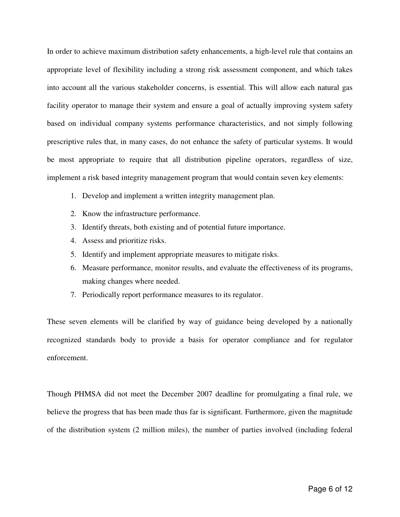In order to achieve maximum distribution safety enhancements, a high-level rule that contains an appropriate level of flexibility including a strong risk assessment component, and which takes into account all the various stakeholder concerns, is essential. This will allow each natural gas facility operator to manage their system and ensure a goal of actually improving system safety based on individual company systems performance characteristics, and not simply following prescriptive rules that, in many cases, do not enhance the safety of particular systems. It would be most appropriate to require that all distribution pipeline operators, regardless of size, implement a risk based integrity management program that would contain seven key elements:

- 1. Develop and implement a written integrity management plan.
- 2. Know the infrastructure performance.
- 3. Identify threats, both existing and of potential future importance.
- 4. Assess and prioritize risks.
- 5. Identify and implement appropriate measures to mitigate risks.
- 6. Measure performance, monitor results, and evaluate the effectiveness of its programs, making changes where needed.
- 7. Periodically report performance measures to its regulator.

These seven elements will be clarified by way of guidance being developed by a nationally recognized standards body to provide a basis for operator compliance and for regulator enforcement.

Though PHMSA did not meet the December 2007 deadline for promulgating a final rule, we believe the progress that has been made thus far is significant. Furthermore, given the magnitude of the distribution system (2 million miles), the number of parties involved (including federal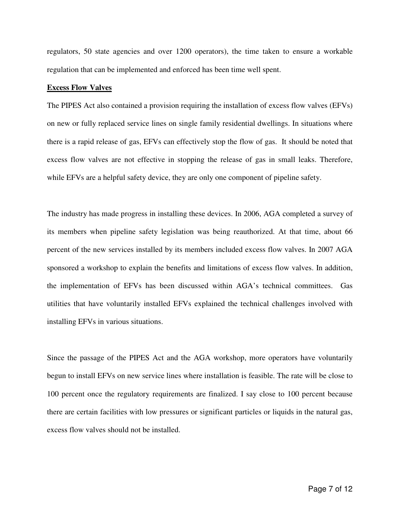regulators, 50 state agencies and over 1200 operators), the time taken to ensure a workable regulation that can be implemented and enforced has been time well spent.

## **Excess Flow Valves**

The PIPES Act also contained a provision requiring the installation of excess flow valves (EFVs) on new or fully replaced service lines on single family residential dwellings. In situations where there is a rapid release of gas, EFVs can effectively stop the flow of gas. It should be noted that excess flow valves are not effective in stopping the release of gas in small leaks. Therefore, while EFVs are a helpful safety device, they are only one component of pipeline safety.

The industry has made progress in installing these devices. In 2006, AGA completed a survey of its members when pipeline safety legislation was being reauthorized. At that time, about 66 percent of the new services installed by its members included excess flow valves. In 2007 AGA sponsored a workshop to explain the benefits and limitations of excess flow valves. In addition, the implementation of EFVs has been discussed within AGA's technical committees. Gas utilities that have voluntarily installed EFVs explained the technical challenges involved with installing EFVs in various situations.

Since the passage of the PIPES Act and the AGA workshop, more operators have voluntarily begun to install EFVs on new service lines where installation is feasible. The rate will be close to 100 percent once the regulatory requirements are finalized. I say close to 100 percent because there are certain facilities with low pressures or significant particles or liquids in the natural gas, excess flow valves should not be installed.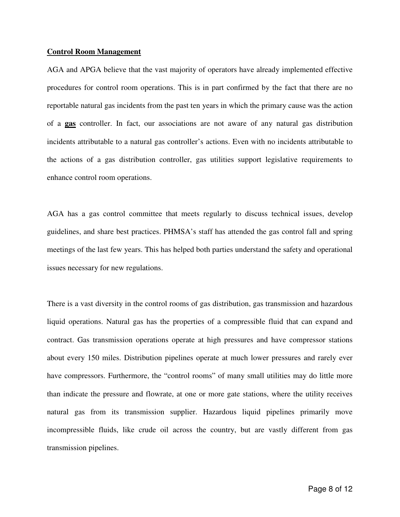#### **Control Room Management**

AGA and APGA believe that the vast majority of operators have already implemented effective procedures for control room operations. This is in part confirmed by the fact that there are no reportable natural gas incidents from the past ten years in which the primary cause was the action of a **gas** controller. In fact, our associations are not aware of any natural gas distribution incidents attributable to a natural gas controller's actions. Even with no incidents attributable to the actions of a gas distribution controller, gas utilities support legislative requirements to enhance control room operations.

AGA has a gas control committee that meets regularly to discuss technical issues, develop guidelines, and share best practices. PHMSA's staff has attended the gas control fall and spring meetings of the last few years. This has helped both parties understand the safety and operational issues necessary for new regulations.

There is a vast diversity in the control rooms of gas distribution, gas transmission and hazardous liquid operations. Natural gas has the properties of a compressible fluid that can expand and contract. Gas transmission operations operate at high pressures and have compressor stations about every 150 miles. Distribution pipelines operate at much lower pressures and rarely ever have compressors. Furthermore, the "control rooms" of many small utilities may do little more than indicate the pressure and flowrate, at one or more gate stations, where the utility receives natural gas from its transmission supplier. Hazardous liquid pipelines primarily move incompressible fluids, like crude oil across the country, but are vastly different from gas transmission pipelines.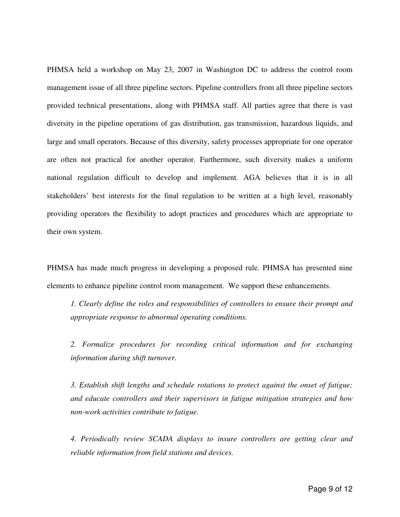PHMSA held a workshop on May 23, 2007 in Washington DC to address the control room management issue of all three pipeline sectors. Pipeline controllers from all three pipeline sectors provided technical presentations, along with PHMSA staff. All parties agree that there is vast diversity in the pipeline operations of gas distribution, gas transmission, hazardous liquids, and large and small operators. Because of this diversity, safety processes appropriate for one operator are often not practical for another operator. Furthermore, such diversity makes a uniform national regulation difficult to develop and implement. AGA believes that it is in all stakeholders' best interests for the final regulation to be written at a high level, reasonably providing operators the flexibility to adopt practices and procedures which are appropriate to their own system.

PHMSA has made much progress in developing a proposed rule. PHMSA has presented nine elements to enhance pipeline control room management. We support these enhancements.

*1. Clearly define the roles and responsibilities of controllers to ensure their prompt and appropriate response to abnormal operating conditions.* 

*2. Formalize procedures for recording critical information and for exchanging information during shift turnover.* 

*3. Establish shift lengths and schedule rotations to protect against the onset of fatigue; and educate controllers and their supervisors in fatigue mitigation strategies and how non-work activities contribute to fatigue.* 

*4. Periodically review SCADA displays to insure controllers are getting clear and reliable information from field stations and devices.*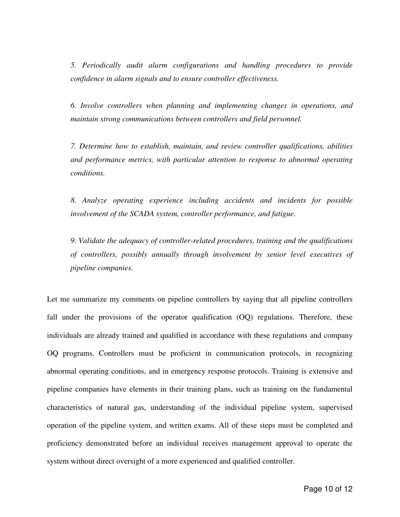*5. Periodically audit alarm configurations and handling procedures to provide confidence in alarm signals and to ensure controller effectiveness.* 

*6. Involve controllers when planning and implementing changes in operations, and maintain strong communications between controllers and field personnel.* 

*7. Determine how to establish, maintain, and review controller qualifications, abilities and performance metrics, with particular attention to response to abnormal operating conditions.* 

*8. Analyze operating experience including accidents and incidents for possible involvement of the SCADA system, controller performance, and fatigue.* 

*9. Validate the adequacy of controller-related procedures, training and the qualifications of controllers, possibly annually through involvement by senior level executives of pipeline companies.* 

Let me summarize my comments on pipeline controllers by saying that all pipeline controllers fall under the provisions of the operator qualification (OQ) regulations. Therefore, these individuals are already trained and qualified in accordance with these regulations and company OQ programs. Controllers must be proficient in communication protocols, in recognizing abnormal operating conditions, and in emergency response protocols. Training is extensive and pipeline companies have elements in their training plans, such as training on the fundamental characteristics of natural gas, understanding of the individual pipeline system, supervised operation of the pipeline system, and written exams. All of these steps must be completed and proficiency demonstrated before an individual receives management approval to operate the system without direct oversight of a more experienced and qualified controller.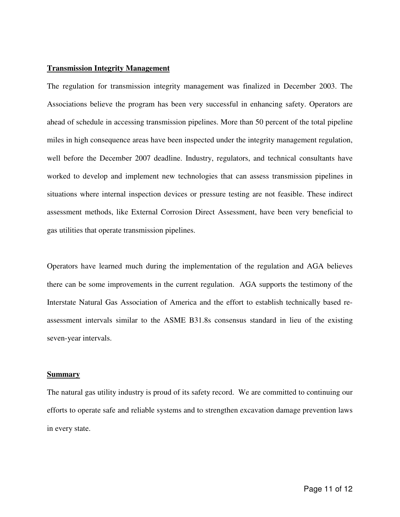## **Transmission Integrity Management**

The regulation for transmission integrity management was finalized in December 2003. The Associations believe the program has been very successful in enhancing safety. Operators are ahead of schedule in accessing transmission pipelines. More than 50 percent of the total pipeline miles in high consequence areas have been inspected under the integrity management regulation, well before the December 2007 deadline. Industry, regulators, and technical consultants have worked to develop and implement new technologies that can assess transmission pipelines in situations where internal inspection devices or pressure testing are not feasible. These indirect assessment methods, like External Corrosion Direct Assessment, have been very beneficial to gas utilities that operate transmission pipelines.

Operators have learned much during the implementation of the regulation and AGA believes there can be some improvements in the current regulation. AGA supports the testimony of the Interstate Natural Gas Association of America and the effort to establish technically based reassessment intervals similar to the ASME B31.8s consensus standard in lieu of the existing seven-year intervals.

## **Summary**

The natural gas utility industry is proud of its safety record. We are committed to continuing our efforts to operate safe and reliable systems and to strengthen excavation damage prevention laws in every state.